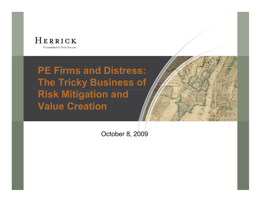

#### **PE Firms and Distress: The Tricky Business of Risk Mitigation and Value Creation**



October 8, 2009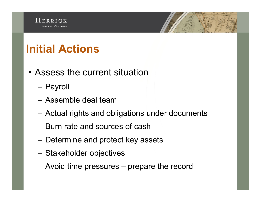

## **Initial Actions**

- Assess the current situation
	- Payroll
	- Assemble deal team
	- Actual rights and obligations under documents
	- Burn rate and sources of cash
	- Determine and protect key assets
	- Stakeholder objectives
	- Avoid time pressures prepare the record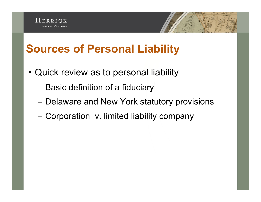#### **Sources of Personal Liability**

- Quick review as to personal liability
	- Basic definition of a fiduciary
	- Delaware and New York statutory provisions
	- Corporation v. limited liability company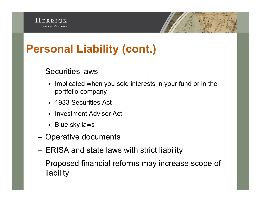#### **Personal Liability (cont.)**

- Securities laws
	- Implicated when you sold interests in your fund or in the portfolio company
	- § 1933 Securities Act
	- § Investment Adviser Act
	- § Blue sky laws
- Operative documents
- ERISA and state laws with strict liability
- Proposed financial reforms may increase scope of liability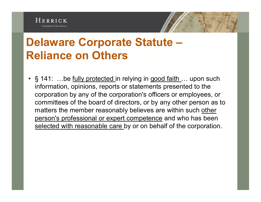

#### **Delaware Corporate Statute – Reliance on Others**

• § 141: …be fully protected in relying in good faith ... upon such information, opinions, reports or statements presented to the corporation by any of the corporation's officers or employees, or committees of the board of directors, or by any other person as to matters the member reasonably believes are within such other person's professional or expert competence and who has been selected with reasonable care by or on behalf of the corporation.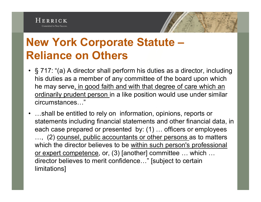#### **New York Corporate Statute – Reliance on Others**

- § 717: "(a) A director shall perform his duties as a director, including his duties as a member of any committee of the board upon which he may serve, in good faith and with that degree of care which an ordinarily prudent person in a like position would use under similar circumstances…"
- …shall be entitled to rely on information, opinions, reports or statements including financial statements and other financial data, in each case prepared or presented by: (1) … officers or employees ..., (2) counsel, public accountants or other persons as to matters which the director believes to be within such person's professional or expert competence, or, (3) [another] committee … which … director believes to merit confidence…" [subject to certain limitations]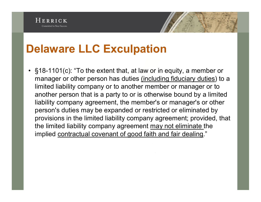#### **Delaware LLC Exculpation**

• §18-1101(c): "To the extent that, at law or in equity, a member or manager or other person has duties *(including fiduciary duties)* to a limited liability company or to another member or manager or to another person that is a party to or is otherwise bound by a limited liability company agreement, the member's or manager's or other person's duties may be expanded or restricted or eliminated by provisions in the limited liability company agreement; provided, that the limited liability company agreement may not eliminate the implied contractual covenant of good faith and fair dealing."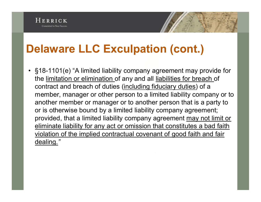## **Delaware LLC Exculpation (cont.)**

• §18-1101(e) "A limited liability company agreement may provide for the limitation or elimination of any and all liabilities for breach of contract and breach of duties (including fiduciary duties) of a member, manager or other person to a limited liability company or to another member or manager or to another person that is a party to or is otherwise bound by a limited liability company agreement; provided, that a limited liability company agreement may not limit or eliminate liability for any act or omission that constitutes a bad faith violation of the implied contractual covenant of good faith and fair dealing.*"*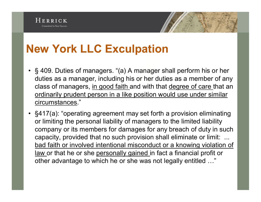#### **New York LLC Exculpation**

- § 409. Duties of managers. "(a) A manager shall perform his or her duties as a manager, including his or her duties as a member of any class of managers, in good faith and with that degree of care that an ordinarily prudent person in a like position would use under similar circumstances."
- §417(a): "operating agreement may set forth a provision eliminating or limiting the personal liability of managers to the limited liability company or its members for damages for any breach of duty in such capacity, provided that no such provision shall eliminate or limit: ... bad faith or involved intentional misconduct or a knowing violation of law or that he or she personally gained in fact a financial profit or other advantage to which he or she was not legally entitled …"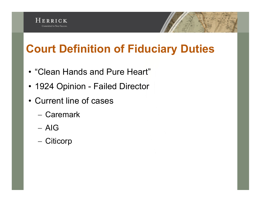## **Court Definition of Fiduciary Duties**

- "Clean Hands and Pure Heart"
- 1924 Opinion Failed Director
- Current line of cases
	- Caremark
	- AIG
	- Citicorp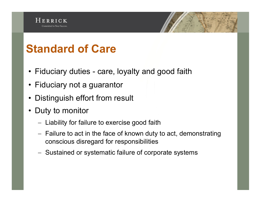

- Fiduciary duties care, loyalty and good faith
- Fiduciary not a guarantor
- Distinguish effort from result
- Duty to monitor
	- Liability for failure to exercise good faith
	- Failure to act in the face of known duty to act, demonstrating conscious disregard for responsibilities
	- Sustained or systematic failure of corporate systems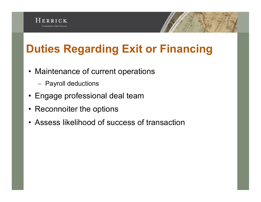# **Duties Regarding Exit or Financing**

- Maintenance of current operations
	- Payroll deductions
- Engage professional deal team
- Reconnoiter the options
- Assess likelihood of success of transaction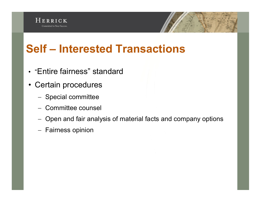### **Self – Interested Transactions**

- "Entire fairness" standard
- Certain procedures
	- Special committee
	- Committee counsel
	- Open and fair analysis of material facts and company options
	- Fairness opinion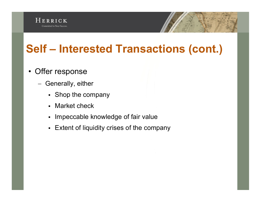# **Self – Interested Transactions (cont.)**

- Offer response
	- Generally, either
		- Shop the company
		- § Market check
		- § Impeccable knowledge of fair value
		- § Extent of liquidity crises of the company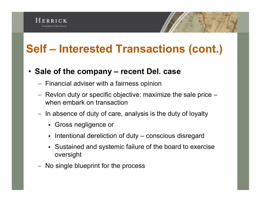# **Self – Interested Transactions (cont.)**

#### • **Sale of the company – recent Del. case**

- Financial adviser with a fairness opinion
- Revlon duty or specific objective: maximize the sale price when embark on transaction
- In absence of duty of care, analysis is the duty of loyalty
	- § Gross negligence or
	- Intentional dereliction of duty conscious disregard
	- § Sustained and systemic failure of the board to exercise oversight
- No single blueprint for the process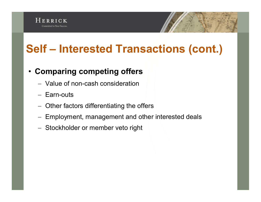# **Self – Interested Transactions (cont.)**

#### • **Comparing competing offers**

- Value of non-cash consideration
- Earn-outs
- Other factors differentiating the offers
- Employment, management and other interested deals
- Stockholder or member veto right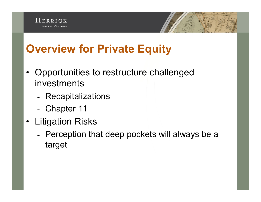#### **Overview for Private Equity**

- Opportunities to restructure challenged investments
	- Recapitalizations ـ
	- Chapter 11
- Litigation Risks
	- ـ Perception that deep pockets will always be a target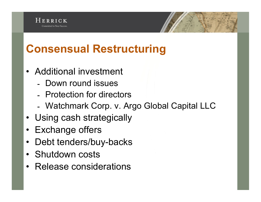#### **Consensual Restructuring**

- Additional investment
	- ـ Down round issues
	- ـ Protection for directors
	- ـ Watchmark Corp. v. Argo Global Capital LLC
- Using cash strategically
- Exchange offers
- Debt tenders/buy-backs
- Shutdown costs
- Release considerations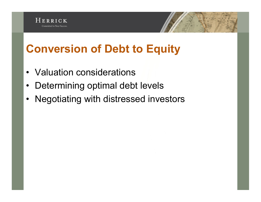#### **Conversion of Debt to Equity**

- Valuation considerations
- Determining optimal debt levels
- Negotiating with distressed investors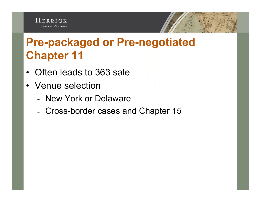#### **Pre-packaged or Pre-negotiated Chapter 11**

- Often leads to 363 sale
- Venue selection
	- ـ New York or Delaware
	- ـ Cross-border cases and Chapter 15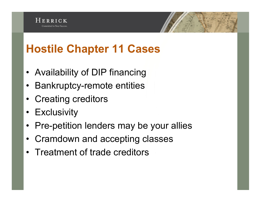### **Hostile Chapter 11 Cases**

- Availability of DIP financing
- Bankruptcy-remote entities
- Creating creditors
- Exclusivity
- Pre-petition lenders may be your allies
- Cramdown and accepting classes
- Treatment of trade creditors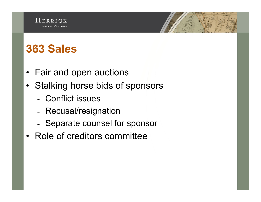# **363 Sales**

- Fair and open auctions
- Stalking horse bids of sponsors
	- ـ Conflict issues
	- ـ Recusal/resignation
	- ـ Separate counsel for sponsor
- Role of creditors committee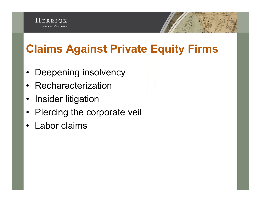

## **Claims Against Private Equity Firms**

- Deepening insolvency
- Recharacterization
- Insider litigation
- Piercing the corporate veil
- Labor claims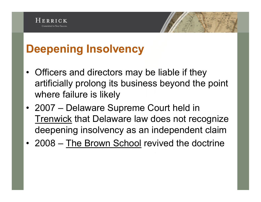#### **Deepening Insolvency**

- Officers and directors may be liable if they artificially prolong its business beyond the point where failure is likely
- 2007 Delaware Supreme Court held in Trenwick that Delaware law does not recognize deepening insolvency as an independent claim
- 2008 The Brown School revived the doctrine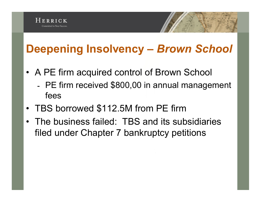## **Deepening Insolvency –** *Brown School*

- A PE firm acquired control of Brown School
	- ـ PE firm received \$800,00 in annual management fees
- TBS borrowed \$112.5M from PE firm
- The business failed: TBS and its subsidiaries filed under Chapter 7 bankruptcy petitions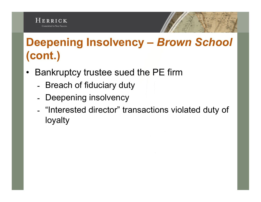

## **Deepening Insolvency –** *Brown School*  **(cont.)**

- Bankruptcy trustee sued the PE firm
	- ـ Breach of fiduciary duty
	- ـ Deepening insolvency
	- "Interested director" transactions violated duty of loyalty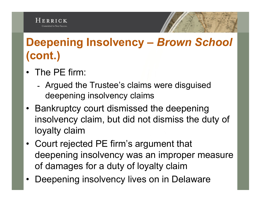

# **Deepening Insolvency –** *Brown School*  **(cont.)**

- The PE firm:
	- ـ Argued the Trustee's claims were disguised deepening insolvency claims
- Bankruptcy court dismissed the deepening insolvency claim, but did not dismiss the duty of loyalty claim
- Court rejected PE firm's argument that deepening insolvency was an improper measure of damages for a duty of loyalty claim
- Deepening insolvency lives on in Delaware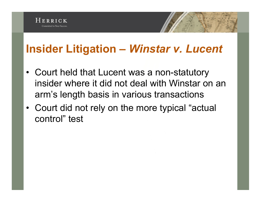

#### **Insider Litigation –** *Winstar v. Lucent*

- Court held that Lucent was a non-statutory insider where it did not deal with Winstar on an arm's length basis in various transactions
- Court did not rely on the more typical "actual control" test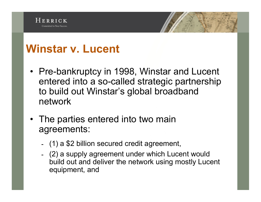

#### **Winstar v. Lucent**

- Pre-bankruptcy in 1998, Winstar and Lucent entered into a so-called strategic partnership to build out Winstar's global broadband network
- The parties entered into two main agreements:
	- (1) a \$2 billion secured credit agreement,
	- (2) a supply agreement under which Lucent would build out and deliver the network using mostly Lucent equipment, and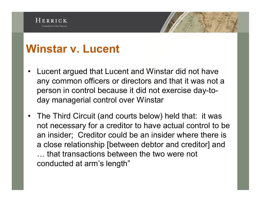#### **Winstar v. Lucent**

- Lucent argued that Lucent and Winstar did not have any common officers or directors and that it was not a person in control because it did not exercise day-today managerial control over Winstar
- The Third Circuit (and courts below) held that: it was not necessary for a creditor to have actual control to be an insider; Creditor could be an insider where there is a close relationship [between debtor and creditor] and … that transactions between the two were not conducted at arm's length"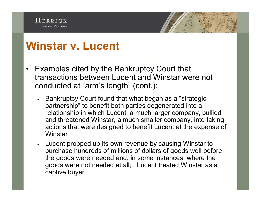

### **Winstar v. Lucent**

- Examples cited by the Bankruptcy Court that transactions between Lucent and Winstar were not conducted at "arm's length" (cont.):
	- Bankruptcy Court found that what began as a "strategic" partnership" to benefit both parties degenerated into a relationship in which Lucent, a much larger company, bullied and threatened Winstar, a much smaller company, into taking actions that were designed to benefit Lucent at the expense of **Winstar**
	- ـ Lucent propped up its own revenue by causing Winstar to purchase hundreds of millions of dollars of goods well before the goods were needed and, in some instances, where the goods were not needed at all; Lucent treated Winstar as a captive buyer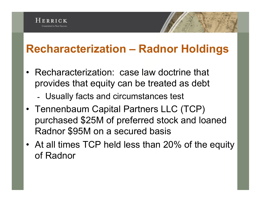

#### **Recharacterization – Radnor Holdings**

- Recharacterization: case law doctrine that provides that equity can be treated as debt
	- ـ Usually facts and circumstances test
- Tennenbaum Capital Partners LLC (TCP) purchased \$25M of preferred stock and loaned Radnor \$95M on a secured basis
- At all times TCP held less than 20% of the equity of Radnor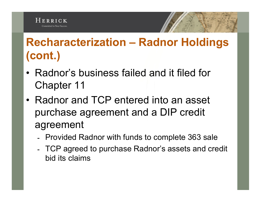

## **Recharacterization – Radnor Holdings (cont.)**

- Radnor's business failed and it filed for Chapter 11
- Radnor and TCP entered into an asset purchase agreement and a DIP credit agreement
	- ـ Provided Radnor with funds to complete 363 sale
	- ـ TCP agreed to purchase Radnor's assets and credit bid its claims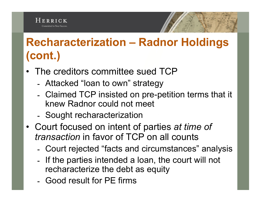## **Recharacterization – Radnor Holdings (cont.)**

- The creditors committee sued TCP
	- ـ Attacked "loan to own" strategy
	- ـ Claimed TCP insisted on pre-petition terms that it knew Radnor could not meet
	- ـ Sought recharacterization
- Court focused on intent of parties *at time of transaction* in favor of TCP on all counts
	- ـ Court rejected "facts and circumstances" analysis
	- ـ If the parties intended a loan, the court will not recharacterize the debt as equity
	- ـ Good result for PE firms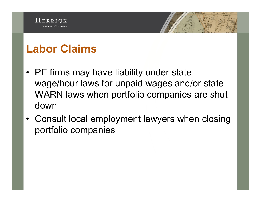## **Labor Claims**

- PE firms may have liability under state wage/hour laws for unpaid wages and/or state WARN laws when portfolio companies are shut down
- Consult local employment lawyers when closing portfolio companies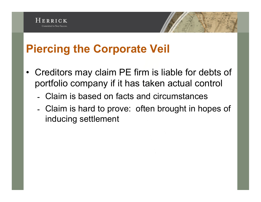#### **Piercing the Corporate Veil**

- Creditors may claim PE firm is liable for debts of portfolio company if it has taken actual control
	- ـ Claim is based on facts and circumstances
	- ـ Claim is hard to prove: often brought in hopes of inducing settlement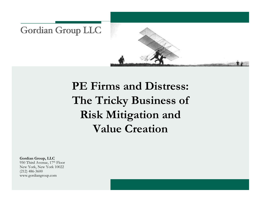Gordian Group LLC



**PE Firms and Distress: The Tricky Business of Risk Mitigation and Value Creation**

**Gordian Group, LLC** 950 Third Avenue, 17<sup>th</sup> Floor New York, New York 10022 (212) 486-3600 <www.gordiangroup.com>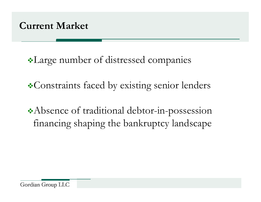#### **Current Market**

\*Large number of distressed companies

• Constraints faced by existing senior lenders

\*Absence of traditional debtor-in-possession financing shaping the bankruptcy landscape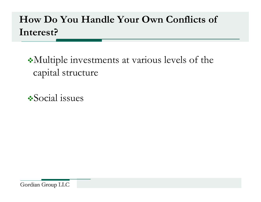#### **How Do You Handle Your Own Conflicts of Interest?**

\*Multiple investments at various levels of the capital structure

 $\triangle$ Social issues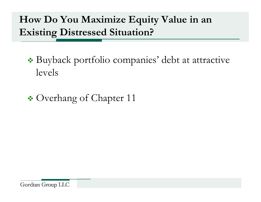#### **How Do You Maximize Equity Value in an Existing Distressed Situation?**

<sup>v</sup> Buyback portfolio companies' debt at attractive levels

• Overhang of Chapter 11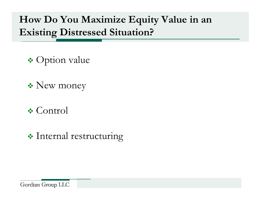#### **How Do You Maximize Equity Value in an Existing Distressed Situation?**

- $\triangleleft$  Option value
- $\triangleleft$  New money
- $\triangle$  Control
- $\cdot$  Internal restructuring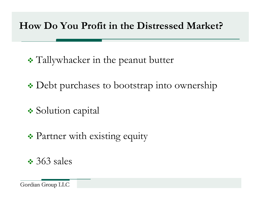#### **How Do You Profit in the Distressed Market?**

- \* Tallywhacker in the peanut butter
- Debt purchases to bootstrap into ownership
- **❖** Solution capital
- Partner with existing equity
- $\div$  363 sales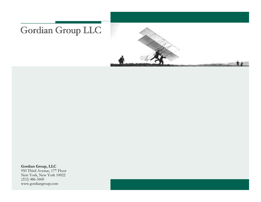#### Gordian Group LLC

**Gordian Group, LLC** 950 Third Avenue, 17<sup>th</sup> Floor New York, New York 10022 (212) 486-3600 <www.gordiangroup.com>